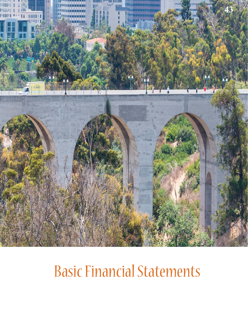

# Basic Financial Statements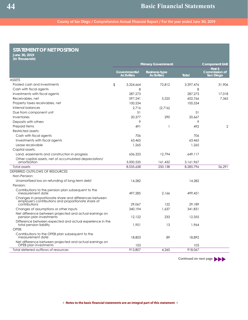#### **STATEMENT OF NET POSITION**

**June 30, 2019 (In Thousands)**

|                                                                                                                                | <b>Primary Government</b>         |                                           | <b>Component Unit</b> |                                              |
|--------------------------------------------------------------------------------------------------------------------------------|-----------------------------------|-------------------------------------------|-----------------------|----------------------------------------------|
|                                                                                                                                | Governmental<br><b>Activities</b> | <b>Business-type</b><br><b>Activities</b> | <b>Total</b>          | First 5<br><b>Commission of</b><br>San Diego |
| <b>ASSETS</b>                                                                                                                  |                                   |                                           |                       |                                              |
| Pooled cash and investments                                                                                                    | $\sqrt{2}$<br>3,324,664           | 72.812                                    | 3,397,476             | 31,906                                       |
| Cash with fiscal agents                                                                                                        | 8                                 |                                           | 8                     |                                              |
| Investments with fiscal agents                                                                                                 | 287,273                           |                                           | 287,273               | 17,018                                       |
| Receivables, net                                                                                                               | 597,241                           | 5.525                                     | 602,766               | 7.365                                        |
| Property taxes receivables, net                                                                                                | 100,534                           |                                           | 100,534               |                                              |
| Internal balances                                                                                                              | 2,716                             | (2,716)                                   |                       |                                              |
| Due from component unit                                                                                                        | 51                                |                                           | 51                    |                                              |
| Inventories                                                                                                                    | 20,377                            | 290                                       | 20,667                |                                              |
| Deposits with others                                                                                                           | 9                                 |                                           | 9                     |                                              |
| Prepaid items                                                                                                                  | 491                               | 1                                         | 492                   | $\overline{2}$                               |
| Restricted assets:                                                                                                             |                                   |                                           |                       |                                              |
| Cash with fiscal agents                                                                                                        | 706                               |                                           | 706                   |                                              |
| Investments with fiscal agents                                                                                                 | 63.465                            |                                           | 63.465                |                                              |
| Lease receivable                                                                                                               | 1,265                             |                                           | 1.265                 |                                              |
| Capital assets:                                                                                                                |                                   |                                           |                       |                                              |
| Land, easements and construction in progress                                                                                   | 636,323                           | 12,794                                    | 649,117               |                                              |
| Other capital assets, net of accumulated depreciation/                                                                         |                                   |                                           |                       |                                              |
| amortization                                                                                                                   | 3,000,535                         | 161,432                                   | 3,161,967             |                                              |
| <b>Total assets</b>                                                                                                            | 8,035,658                         | 250,138                                   | 8,285,796             | 56.291                                       |
| DEFERRED OUTFLOWS OF RESOURCES                                                                                                 |                                   |                                           |                       |                                              |
| Non-Pension:                                                                                                                   |                                   |                                           |                       |                                              |
| Unamortized loss on refunding of long-term debt                                                                                | 14.282                            |                                           | 14.282                |                                              |
| Pension:                                                                                                                       |                                   |                                           |                       |                                              |
| Contributions to the pension plan subsequent to the<br>measurement date                                                        | 497,285                           | 2.166                                     | 499,451               |                                              |
| Changes in proportionate share and differences between<br>employer's contributions and proportionate share of<br>contributions | 29,067                            | 122                                       | 29,189                |                                              |
| Changes of assumptions or other inputs                                                                                         | 340.194                           | 1.637                                     | 341.831               |                                              |
|                                                                                                                                |                                   |                                           |                       |                                              |
| Net difference between projected and actual earnings on<br>pension plan investments                                            | 12.122                            | 233                                       | 12,355                |                                              |
| Difference between expected and actual experience in the<br>total pension liability                                            | 1,951                             | 13                                        | 1,964                 |                                              |
| OPEB:                                                                                                                          |                                   |                                           |                       |                                              |
| Contributions to the OPEB plan subsequent to the<br>measurement date                                                           | 18,803                            | 89                                        | 18,892                |                                              |
| Net difference between projected and actual earnings on<br>OPEB plan investments                                               | 103                               |                                           | 103                   |                                              |
| Total deferred outflows of resources                                                                                           | 913,807                           | 4,260                                     | 918,067               |                                              |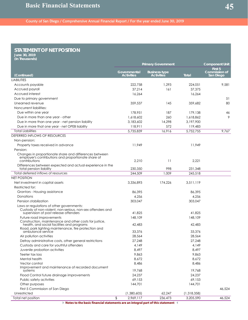## **STATEMENT OF NET POSITION**

**June 30, 2019 (In Thousands)**

| ull liivusalius)                                                                                                                           | <b>Primary Government</b>         |                                           | <b>Component Unit</b> |                                              |
|--------------------------------------------------------------------------------------------------------------------------------------------|-----------------------------------|-------------------------------------------|-----------------------|----------------------------------------------|
| (Continued)                                                                                                                                | Governmental<br><b>Activities</b> | <b>Business-type</b><br><b>Activities</b> | Total                 | First 5<br><b>Commission of</b><br>San Diego |
| <b>LIABILITIES</b>                                                                                                                         |                                   |                                           |                       |                                              |
| Accounts payable                                                                                                                           | 222,758                           | 1,293                                     | 224,051               | 9,581                                        |
| Accrued payroll                                                                                                                            | 37,214                            | 161                                       | 37,375                |                                              |
| Accrued interest                                                                                                                           | 16,264                            |                                           | 16,264                |                                              |
| Due to primary government                                                                                                                  |                                   |                                           |                       | 51                                           |
| Unearned revenue                                                                                                                           | 359,537                           | 145                                       | 359,682               | 80                                           |
| Noncurrent liabilities:                                                                                                                    |                                   |                                           |                       |                                              |
| Due within one year                                                                                                                        | 178,951                           | 187                                       | 179,138               | 46                                           |
|                                                                                                                                            | 1,618,602                         | 260                                       | 1,618,862             | 9                                            |
| Due in more than one year - other                                                                                                          |                                   |                                           |                       |                                              |
| Due in more than one year - net pension liability                                                                                          | 3,183,602                         | 14,298                                    | 3,197,900             |                                              |
| Due in more that one year - net OPEB liability                                                                                             | 118,911                           | 572                                       | 119,483               |                                              |
| <b>Total Liabilities</b>                                                                                                                   | 5,735,839                         | 16,916                                    | 5,752,755             | 9,767                                        |
| DEFERRED INFLOWS OF RESOURCES                                                                                                              |                                   |                                           |                       |                                              |
| Non-pension:                                                                                                                               |                                   |                                           |                       |                                              |
| Property taxes received in advance                                                                                                         | 11,949                            |                                           | 11,949                |                                              |
| Pension:<br>Changes in proportionate share and differences between<br>employer's contributions and proportionate share of<br>contributions | 2,210                             | 11                                        | 2,221                 |                                              |
| Differences between expected and actual experience in the<br>total pension liability                                                       | 230,350                           | 998                                       | 231,348               |                                              |
| Total deferred inflows of resources                                                                                                        | 244,509                           | 1.009                                     | 245,518               |                                              |
| <b>NET POSITION</b>                                                                                                                        |                                   |                                           |                       |                                              |
| Net investment in capital assets                                                                                                           | 3,336,893                         | 174,226                                   | 3,511,119             |                                              |
| Restricted for:                                                                                                                            |                                   |                                           |                       |                                              |
| Grantors - Housing assistance                                                                                                              | 86,395                            |                                           | 86,395                |                                              |
| Donations                                                                                                                                  | 4,256                             |                                           | 4,256                 |                                              |
| Pension stabilization                                                                                                                      |                                   |                                           |                       |                                              |
| Laws or regulations of other governments:                                                                                                  | 303,047                           |                                           | 303,047               |                                              |
| Custody of non-violent, non-serious, non-sex offenders and                                                                                 |                                   |                                           |                       |                                              |
| supervision of post release offenders                                                                                                      | 41,825                            |                                           | 41,825                |                                              |
| Future road improvements                                                                                                                   | 148,109                           |                                           | 148,109               |                                              |
| Construction, maintenance and other costs for justice,<br>health, and social facilities and programs                                       | 42,483                            |                                           | 42,483                |                                              |
| Road, park lighting maintenance, fire protection and<br>ambulance service                                                                  | 33,376                            |                                           | 33,376                |                                              |
| Air pollution activities                                                                                                                   | 28,564                            |                                           | 28,564                |                                              |
| Defray administrative costs, other general restrictions                                                                                    | 27,248                            |                                           | 27,248                |                                              |
|                                                                                                                                            | 4,149                             |                                           | 4,149                 |                                              |
| Custody and care for youthful offenders<br>Juvenile probation activities                                                                   | 8,497                             |                                           | 8,497                 |                                              |
|                                                                                                                                            |                                   |                                           |                       |                                              |
| Teeter tax loss                                                                                                                            | 9,863                             |                                           | 9,863                 |                                              |
| Mental health                                                                                                                              | 8,672                             |                                           | 8,672                 |                                              |
| Vector control<br>Improvement and maintenance of recorded document                                                                         | 8,486                             |                                           | 8.486                 |                                              |
| systems                                                                                                                                    | 19,768                            |                                           | 19,768                |                                              |
| Flood Control future drainage improvements                                                                                                 | 24,237                            |                                           | 24,237                |                                              |
| Public safety activities                                                                                                                   | 69,153                            |                                           | 69,153                |                                              |
| Other purposes                                                                                                                             | 144,701                           |                                           | 144,701               |                                              |
| First 5 Commission of San Diego                                                                                                            |                                   |                                           |                       | 46,524                                       |
| Unrestricted                                                                                                                               | (1,380,605)                       | 62,247                                    | (1,318,358)           |                                              |
| Total net position                                                                                                                         | 2,969,117<br>\$                   | 236,473                                   | 3,205,590             | 46,524                                       |
|                                                                                                                                            |                                   |                                           |                       |                                              |

 **Notes to the basic financial statements are an integral part of this statement**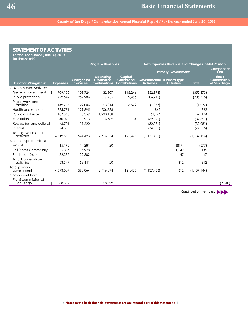#### **STATEMENT OF ACTIVITIES**

**For the Year Ended June 30, 2019 (In Thousands)**

|                                    |                 | <b>Program Revenues</b>        |                                                        |                                                      |                                                 | Net (Expense) Revenue and Changes in Net Position |               |                                       |  |  |
|------------------------------------|-----------------|--------------------------------|--------------------------------------------------------|------------------------------------------------------|-------------------------------------------------|---------------------------------------------------|---------------|---------------------------------------|--|--|
|                                    |                 |                                |                                                        |                                                      | <b>Primary Government</b>                       |                                                   |               | Component<br><b>Unit</b>              |  |  |
| <b>Functions/Programs:</b>         | <b>Expenses</b> | <b>Charges</b> for<br>Services | Operating<br><b>Grants</b> and<br><b>Contributions</b> | Capital<br><b>Grants and</b><br><b>Contributions</b> | Governmental Business-type<br><b>Activities</b> | <b>Activities</b>                                 | <b>Total</b>  | First 5<br>Commission<br>of San Diego |  |  |
| Governmental Activities:           |                 |                                |                                                        |                                                      |                                                 |                                                   |               |                                       |  |  |
| General government                 | \$<br>709,150   | 108,724                        | 132,307                                                | 115,246                                              | (352, 873)                                      |                                                   | (352, 873)    |                                       |  |  |
| Public protection                  | 1,479,542       | 252,906                        | 517.455                                                | 2,466                                                | (706, 715)                                      |                                                   | (706, 715)    |                                       |  |  |
| Public ways and<br>facilities      | 149,776         | 22.006                         | 123.014                                                | 3,679                                                | (1,077)                                         |                                                   | (1,077)       |                                       |  |  |
| Health and sanitation              | 835,771         | 129,895                        | 706.738                                                |                                                      | 862                                             |                                                   | 862           |                                       |  |  |
| Public assistance                  | 1.187.343       | 18.359                         | 1,230,158                                              |                                                      | 61.174                                          |                                                   | 61.174        |                                       |  |  |
| Education                          | 40.020          | 913                            | 6.682                                                  | 34                                                   | (32, 391)                                       |                                                   | (32, 391)     |                                       |  |  |
| Recreation and cultural            | 43,701          | 11,620                         |                                                        |                                                      | (32,081)                                        |                                                   | (32,081)      |                                       |  |  |
| Interest                           | 74,355          |                                |                                                        |                                                      | (74, 355)                                       |                                                   | (74, 355)     |                                       |  |  |
| Total governmental<br>activities   | 4,519,658       | 544,423                        | 2,716,354                                              | 121,425                                              | (1, 137, 456)                                   |                                                   | (1, 137, 456) |                                       |  |  |
| Business-type activities:          |                 |                                |                                                        |                                                      |                                                 |                                                   |               |                                       |  |  |
| Airport                            | 15,178          | 14.281                         | 20                                                     |                                                      |                                                 | (877)                                             | (877)         |                                       |  |  |
| <b>Jail Stores Commissary</b>      | 5,836           | 6.978                          |                                                        |                                                      |                                                 | 1.142                                             | 1.142         |                                       |  |  |
| <b>Sanitation District</b>         | 32,335          | 32,382                         |                                                        |                                                      |                                                 | 47                                                | 47            |                                       |  |  |
| Total business-type<br>activities  | 53,349          | 53,641                         | 20                                                     |                                                      |                                                 | 312                                               | 312           |                                       |  |  |
| Total primary<br>government        | 4,573,007       | 598,064                        | 2,716,374                                              | 121,425                                              | (1, 137, 456)                                   | 312                                               | (1, 137, 144) |                                       |  |  |
| Component Unit:                    |                 |                                |                                                        |                                                      |                                                 |                                                   |               |                                       |  |  |
| First 5 commission of<br>San Diego | 38,339<br>\$    |                                | 28,529                                                 |                                                      |                                                 |                                                   |               | (9,810)                               |  |  |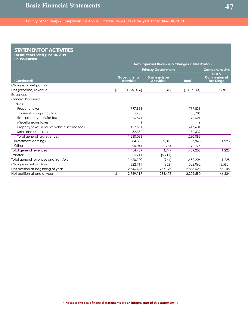## **STATEMENT OF ACTIVITIES**

**For the Year Ended June 30, 2019 (In Thousands)**

|                                                | Net (Expense) Revenue & Changes in Net Position |                                                    |                                           |               |                                       |  |  |  |  |
|------------------------------------------------|-------------------------------------------------|----------------------------------------------------|-------------------------------------------|---------------|---------------------------------------|--|--|--|--|
|                                                |                                                 | <b>Primary Government</b><br><b>Component Unit</b> |                                           |               |                                       |  |  |  |  |
| (Continued)                                    |                                                 | Governmental<br><b>Activities</b>                  | <b>Business-type</b><br><b>Activities</b> | Total         | First 5<br>Commission of<br>San Diego |  |  |  |  |
| Changes in net position:                       |                                                 |                                                    |                                           |               |                                       |  |  |  |  |
| Net (expense) revenue                          | \$                                              | (1, 137, 456)                                      | 312                                       | (1, 137, 144) | (9, 810)                              |  |  |  |  |
| Revenues:                                      |                                                 |                                                    |                                           |               |                                       |  |  |  |  |
| <b>General Revenues</b>                        |                                                 |                                                    |                                           |               |                                       |  |  |  |  |
| Taxes:                                         |                                                 |                                                    |                                           |               |                                       |  |  |  |  |
| Property taxes                                 |                                                 | 797,838                                            |                                           | 797,838       |                                       |  |  |  |  |
| Transient occupancy tax                        |                                                 | 5,785                                              |                                           | 5,785         |                                       |  |  |  |  |
| Real property transfer tax                     |                                                 | 26,521                                             |                                           | 26,521        |                                       |  |  |  |  |
| Miscellaneous taxes                            |                                                 | 6                                                  |                                           | 6             |                                       |  |  |  |  |
| Property taxes in lieu of vehicle license fees |                                                 | 417,601                                            |                                           | 417,601       |                                       |  |  |  |  |
| Sales and use taxes                            |                                                 | 32,332                                             |                                           | 32,332        |                                       |  |  |  |  |
| Total general tax revenues                     |                                                 | ,280,083                                           |                                           | 1,280,083     |                                       |  |  |  |  |
| Investment earnings                            |                                                 | 84,335                                             | 2,013                                     | 86,348        | 1,228                                 |  |  |  |  |
| Other                                          |                                                 | 90,041                                             | 2,734                                     | 92,775        |                                       |  |  |  |  |
| Total general revenues                         |                                                 | 1,454,459                                          | 4.747                                     | 1,459,206     | 1,228                                 |  |  |  |  |
| <b>Transfers</b>                               |                                                 | 5.711                                              | (5,711)                                   |               |                                       |  |  |  |  |
| Total general revenues and transfers           |                                                 | ,460,170                                           | (964)                                     | 1,459,206     | 1,228                                 |  |  |  |  |
| Change in net position                         |                                                 | 322,714                                            | (652)                                     | 322,062       | (8, 582)                              |  |  |  |  |
| Net position at beginning of year              |                                                 | 2,646,403                                          | 237,125                                   | 2,883,528     | 55,106                                |  |  |  |  |
| Net position at end of year                    | \$                                              | 2,969,117                                          | 236,473                                   | 3,205,590     | 46,524                                |  |  |  |  |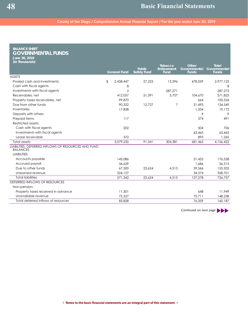| <b>BALANCE SHEET</b><br><b>GOVERNMENTAL FUNDS</b><br>June 30, 2019<br>(In Thousands) |                     |                                     |                                     |                                       |                                       |
|--------------------------------------------------------------------------------------|---------------------|-------------------------------------|-------------------------------------|---------------------------------------|---------------------------------------|
|                                                                                      | <b>General Fund</b> | <b>Public</b><br><b>Safety Fund</b> | <b>Tobacco</b><br>Endowment<br>Fund | <b>Other</b><br>Governmental<br>Funds | <b>Total</b><br>Governmental<br>Funds |
| <b>ASSETS</b>                                                                        |                     |                                     |                                     |                                       |                                       |
| Pooled cash and investments                                                          | \$<br>2,458,447     | 27.223                              | 13.396                              | 478.059                               | 2,977,125                             |
| Cash with fiscal agents                                                              | 8                   |                                     |                                     |                                       | 8                                     |
| Investments with fiscal agents                                                       | $\overline{2}$      |                                     | 287,271                             |                                       | 287,273                               |
| Receivables, net                                                                     | 412,057             | 51,391                              | 3,707                               | 104,670                               | 571,825                               |
| Property taxes receivables, net                                                      | 99.870              |                                     |                                     | 664                                   | 100.534                               |
| Due from other funds                                                                 | 90.322              | 12,727                              | 7                                   | 31.493                                | 134,549                               |
| Inventories                                                                          | 17,838              |                                     |                                     | 1,334                                 | 19,172                                |
| Deposits with others                                                                 |                     |                                     |                                     | 9                                     | 9                                     |
| Prepaid items                                                                        | 117                 |                                     |                                     | 374                                   | 491                                   |
| <b>Restricted assets:</b>                                                            |                     |                                     |                                     |                                       |                                       |
| Cash with fiscal agents                                                              | 202                 |                                     |                                     | 504                                   | 706                                   |
| Investments with fiscal agents                                                       |                     |                                     |                                     | 63,465                                | 63,465                                |
| Lease receivable                                                                     | 372                 |                                     |                                     | 893                                   | 1.265                                 |
| <b>Total assets</b>                                                                  | 3,079,235           | 91.341                              | 304.381                             | 681.465                               | 4,156,422                             |
| LIABILITIES, DEFERRED INFLOWS OF RESOURCES AND FUND<br><b>BALANCES</b>               |                     |                                     |                                     |                                       |                                       |
| <b>LIABILITIES</b>                                                                   |                     |                                     |                                     |                                       |                                       |
| Accounts payable                                                                     | 145,086             |                                     |                                     | 31.452                                | 176,538                               |
| Accrued payroll                                                                      | 34,629              |                                     |                                     | 1.686                                 | 36,315                                |
| Due to other funds                                                                   | 67,500              | 23.624                              | 4.513                               | 59,566                                | 155,203                               |
| Unearned revenue                                                                     | 324,127             |                                     |                                     | 34,574                                | 358,701                               |
| <b>Total liabilities</b>                                                             | 571,342             | 23,624                              | 4.513                               | 127,278                               | 726,757                               |
| DEFERRED INFLOWS OF RESOURCES                                                        |                     |                                     |                                     |                                       |                                       |
| Non-pension:                                                                         |                     |                                     |                                     |                                       |                                       |
| Property taxes received in advance                                                   | 11,301              |                                     |                                     | 648                                   | 11,949                                |
| Unavailable revenue                                                                  | 72,527              |                                     |                                     | 75.711                                | 148,238                               |
| Total deferred inflows of resources                                                  | 83,828              |                                     |                                     | 76,359                                | 160,187                               |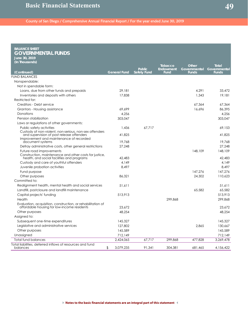| <b>BALANCE SHEET</b><br><b>GOVERNMENTAL FUNDS</b>                                                          |                     |                    |                      |                       |                       |
|------------------------------------------------------------------------------------------------------------|---------------------|--------------------|----------------------|-----------------------|-----------------------|
| June 30, 2019<br>(In Thousands)                                                                            |                     |                    |                      |                       |                       |
|                                                                                                            |                     | <b>Public</b>      | Tobacco<br>Endowment | Other<br>Governmental | Total<br>Governmental |
| (Continued)                                                                                                | <b>General Fund</b> | <b>Safety Fund</b> | Fund                 | <b>Funds</b>          | <b>Funds</b>          |
| <b>FUND BALANCES</b>                                                                                       |                     |                    |                      |                       |                       |
| Nonspendable:                                                                                              |                     |                    |                      |                       |                       |
| Not in spendable form:                                                                                     |                     |                    |                      |                       |                       |
| Loans, due from other funds and prepaids                                                                   | 29,181              |                    |                      | 4.291                 | 33,472                |
| Inventories and deposits with others                                                                       | 17,838              |                    |                      | 1,343                 | 19,181                |
| Restricted for:<br>Creditors - Debt service                                                                |                     |                    |                      |                       |                       |
| Grantors - Housing assistance                                                                              |                     |                    |                      | 67,364<br>16.696      | 67,364                |
| Donations                                                                                                  | 69.699              |                    |                      |                       | 86,395                |
| Pension stabilization                                                                                      | 4,256               |                    |                      |                       | 4,256                 |
|                                                                                                            | 303.047             |                    |                      |                       | 303.047               |
| Laws or regulations of other governments:                                                                  |                     |                    |                      |                       |                       |
| Public safety activities<br>Custody of non-violent, non-serious, non-sex offenders                         | 1.436               | 67,717             |                      |                       | 69,153                |
| and supervision of post release offenders                                                                  | 41,825              |                    |                      |                       | 41,825                |
| Improvement and maintenance of recorded<br>document systems                                                | 19.768              |                    |                      |                       | 19,768                |
| Defray administrative costs, other general restrictions                                                    | 27,248              |                    |                      |                       | 27,248                |
| Future road improvements                                                                                   |                     |                    |                      | 148,109               | 148,109               |
| Construction, maintenance and other costs for justice,<br>health, and social facilities and programs       | 42,483              |                    |                      |                       | 42,483                |
| Custody and care of youthful offenders                                                                     | 4,149               |                    |                      |                       | 4,149                 |
| Juvenile probation activities                                                                              | 8,497               |                    |                      |                       | 8.497                 |
| Fund purpose                                                                                               |                     |                    |                      | 147.276               | 147,276               |
| Other purposes                                                                                             | 86,321              |                    |                      | 24,302                | 110.623               |
| Committed to:                                                                                              |                     |                    |                      |                       |                       |
| Realignment health, mental health and social services                                                      | 51.611              |                    |                      |                       | 51.611                |
| Landfill, postclosure and landfill maintenance                                                             |                     |                    |                      | 65,582                | 65,582                |
| Capital projects' funding                                                                                  | 513,913             |                    |                      |                       | 513,913               |
| Health                                                                                                     |                     |                    | 299.868              |                       | 299,868               |
| Evaluation, acquisition, construction, or rehabilitation of<br>affordable housing for low-income residents | 23.672              |                    |                      |                       | 23.672                |
| Other purposes                                                                                             | 48,254              |                    |                      |                       | 48,254                |
| Assigned to:                                                                                               |                     |                    |                      |                       |                       |
| Subsequent one-time expenditures                                                                           | 145,327             |                    |                      |                       | 145,327               |
| Legislative and administrative services                                                                    | 127,802             |                    |                      | 2.865                 | 130,667               |
| Other purposes                                                                                             | 145,589             |                    |                      |                       | 145,589               |
| Unassigned                                                                                                 | 712,149             |                    |                      |                       | 712,149               |
| <b>Total fund balances</b>                                                                                 | 2,424,065           | 67.717             | 299.868              | 477.828               | 3,269,478             |
| Total liabilities, deferred inflows of resources and fund<br>balances                                      | \$<br>3.079.235     | 91,341             | 304,381              | 681,465               | 4,156,422             |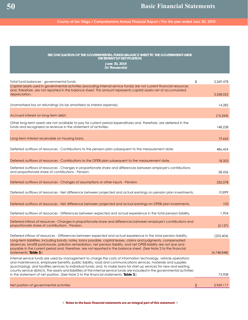County of San Diego / Comprehensive Annual Financial Report / For the year ended June 30, 2019

| RECONCILIATION OF THE GOVERNMENTAL FUNDS BALANCE SHEET TO THE GOVERNMENT-WIDE<br><b>STATEMENT OF NET POSITION</b><br>June 30, 2019<br>(In Thousands)                                                                                                                                                                                                                                                                                                                                            |                 |
|-------------------------------------------------------------------------------------------------------------------------------------------------------------------------------------------------------------------------------------------------------------------------------------------------------------------------------------------------------------------------------------------------------------------------------------------------------------------------------------------------|-----------------|
| Total fund balances - governmental funds                                                                                                                                                                                                                                                                                                                                                                                                                                                        | \$<br>3,269,478 |
| Capital assets used in governmental activities (excluding internal service funds) are not current financial resources<br>and, therefore, are not reported in the balance sheet. This amount represents capital assets net of accumulated<br>depreciation.                                                                                                                                                                                                                                       | 3,558,025       |
| Unamortized loss on refundings (to be amortized as interest expense).                                                                                                                                                                                                                                                                                                                                                                                                                           | 14,282          |
| Accrued interest on long-term debt.                                                                                                                                                                                                                                                                                                                                                                                                                                                             | (16, 264)       |
| Other long-term assets are not available to pay for current period expenditures and, therefore, are deferred in the<br>funds and recognized as revenue in the statement of activities.                                                                                                                                                                                                                                                                                                          | 148,238         |
| Long-term interest receivable on housing loans.                                                                                                                                                                                                                                                                                                                                                                                                                                                 | 19,662          |
| Deferred outflows of resources - Contributions to the pension plan subsequent to the measurement date.                                                                                                                                                                                                                                                                                                                                                                                          | 486,424         |
| Deferred outflows of resources - Contributions to the OPEB plan subsequent to the measurement date.                                                                                                                                                                                                                                                                                                                                                                                             | 18,353          |
| Deferred outflows of resources - Changes in proportionate share and differences between employer's contributions<br>and proportionate share of contributions - Pension.                                                                                                                                                                                                                                                                                                                         | 28,436          |
| Deferred outflows of resources - Changes of assumptions or other inputs - Pension.                                                                                                                                                                                                                                                                                                                                                                                                              | 332,078         |
| Deferred outflows of resources - Net difference between projected and actual earnings on pension plan investments.                                                                                                                                                                                                                                                                                                                                                                              | 10,899          |
| Deferred outflows of resources - Net difference between projected and actual earnings on OPEB plan investments.                                                                                                                                                                                                                                                                                                                                                                                 | 103             |
| Deferred outflows of resources - Differences between expected and actual experience in the total pension liability.                                                                                                                                                                                                                                                                                                                                                                             | 1,904           |
| Deferred inflows of resources - Changes in proportionate share and differences between employer's contributions and<br>proportionate share of contributions - Pension.                                                                                                                                                                                                                                                                                                                          | (2, 157)        |
| Deferred inflows of resources - Differences between expected and actual experience in the total pension liability.                                                                                                                                                                                                                                                                                                                                                                              | (225, 404)      |
| Long-term liabilities, including bonds, notes, loans payable, capital leases, claims and judgments, compensated<br>absences, landfill postclosure, pollution remediation, net pension liability, and net OPEB liability are not due and<br>payable in the current period and, therefore, are not reported in the balance sheet. (See Note 2 to the financial<br>statements; Table 3.)                                                                                                           | (4,748,848)     |
| Internal service funds are used by management to charge the costs of information technology, vehicle operations<br>and maintenance, employee benefits, public liability, road and communications services, materials and supplies<br>(purchasing), and facilities services to individual funds; and, to make loans for start-up services for new and existing<br>county service districts. The assets and liabilities of the internal service funds are included in the governmental activities |                 |
| in the statement of net position. (See Note 2 to the financial statements; Table 3.)                                                                                                                                                                                                                                                                                                                                                                                                            | 73,908          |
| Net position of governmental activities                                                                                                                                                                                                                                                                                                                                                                                                                                                         | \$<br>2,969,117 |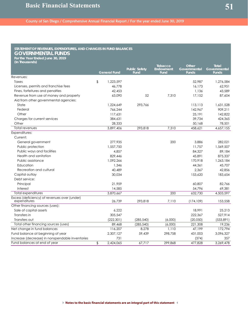| STATEMENT OF REVENUES, EXPENDITURES, AND CHANGES IN FUND BALANCES |               |                     |                              |                          |                              |                              |
|-------------------------------------------------------------------|---------------|---------------------|------------------------------|--------------------------|------------------------------|------------------------------|
| <b>GOVERNMENTAL FUNDS</b>                                         |               |                     |                              |                          |                              |                              |
| For the Year Ended June 30, 2019                                  |               |                     |                              |                          |                              |                              |
| (In Thousands)                                                    |               |                     |                              | Tobacco                  | <b>Other</b>                 | <b>Total</b>                 |
|                                                                   |               | <b>General Fund</b> | <b>Public Safety</b><br>Fund | <b>Endowment</b><br>Fund | Governmental<br><b>Funds</b> | Governmental<br><b>Funds</b> |
| Revenues:                                                         |               |                     |                              |                          |                              |                              |
| Taxes                                                             | $\frac{1}{2}$ | 1,223,597           |                              |                          | 52,987                       | 1,276,584                    |
| Licenses, permits and franchise fees                              |               | 46,778              |                              |                          | 16.173                       | 62,951                       |
| Fines, forfeitures and penalties                                  |               | 42.453              |                              |                          | 1.136                        | 43,589                       |
| Revenue from use of money and property                            |               | 63.090              | 52                           | 7.310                    | 17.152                       | 87.604                       |
| Aid from other governmental agencies:                             |               |                     |                              |                          |                              |                              |
| State                                                             |               | 1,224,649           | 293,766                      |                          | 113,113                      | 1,631,528                    |
| Federal                                                           |               | 766,244             |                              |                          | 142,967                      | 909,211                      |
| Other                                                             |               | 117,631             |                              |                          | 25,191                       | 142,822                      |
| Charges for current services                                      |               | 384,631             |                              |                          | 39.734                       | 424,365                      |
| Other                                                             |               | 28,333              |                              |                          | 50,168                       | 78,501                       |
| Total revenues                                                    |               | 3,897,406           | 293,818                      | 7,310                    | 458,621                      | 4,657,155                    |
| Expenditures:                                                     |               |                     |                              |                          |                              |                              |
| Current:                                                          |               |                     |                              |                          |                              |                              |
| General government                                                |               | 277.935             |                              | 200                      | 3,886                        | 282.021                      |
| Public protection                                                 |               | 1,557,750           |                              |                          | 11,757                       | 1,569,507                    |
| Public ways and facilities                                        |               | 4.857               |                              |                          | 84.327                       | 89,184                       |
| Health and sanitation                                             |               | 829,446             |                              |                          | 45.891                       | 875,337                      |
| Public assistance                                                 |               | 1,092,266           |                              |                          | 170,918                      | 1,263,184                    |
| Education                                                         |               | 1,346               |                              |                          | 44,361                       | 45,707                       |
| Recreation and cultural                                           |               | 40.489              |                              |                          | 2.367                        | 42.856                       |
| Capital outlay                                                    |               | 30,034              |                              |                          | 153,620                      | 183,654                      |
| Debt service:                                                     |               |                     |                              |                          |                              |                              |
| Principal                                                         |               | 21.959              |                              |                          | 60.807                       | 82.766                       |
| Interest                                                          |               | 14,585              |                              |                          | 54.796                       | 69,381                       |
| Total expenditures                                                |               | 3,870,667           |                              | 200                      | 632,730                      | 4,503,597                    |
| Excess (deficiency) of revenues over (under)<br>expenditures      |               | 26.739              | 293.818                      | 7.110                    | (174, 109)                   | 153,558                      |
| Other financing sources (uses):                                   |               |                     |                              |                          |                              |                              |
| Sale of capital assets                                            |               | 6,222               |                              |                          | 18,991                       | 25,213                       |
| Transfers in                                                      |               | 305,547             |                              |                          | 222.367                      | 527,914                      |
| Transfers out                                                     |               | (222, 301)          | (285, 540)                   | (6,000)                  | (20,050)                     | (533, 891)                   |
| Total other financing sources (uses)                              |               | 89,468              | (285, 540)                   | (6,000)                  | 221,308                      | 19,236                       |
| Net change in fund balances                                       |               | 116,207             | 8,278                        | 1,110                    | 47,199                       | 172,794                      |
| Fund balance at beginning of year                                 |               | 2,307,127           | 59,439                       | 298,758                  | 431,003                      | 3,096,327                    |
| Increase (decrease) in nonspendable inventories                   |               | 731                 |                              |                          | (374)                        | 357                          |
| Fund balances at end of year                                      | \$            | 2,424,065           | 67,717                       | 299.868                  | 477,828                      | 3,269,478                    |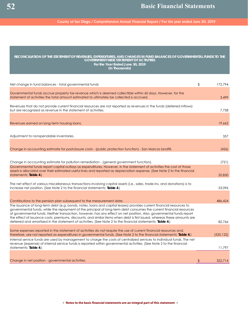County of San Diego / Comprehensive Annual Financial Report / For the year ended June 30, 2019

| RECONCILIATION OF THE STATEMENT OF REVENUES, EXPENDITURES, AND CHANGES IN FUND BALANCES OF GOVERNMENTAL FUNDS TO THE<br><b>GOVERNMENT-WIDE STATEMENT OF ACTIVITIES</b><br>For the Year Ended June 30, 2019<br>(In Thousands)                                                                                                                                                                                                                                                                     |               |
|--------------------------------------------------------------------------------------------------------------------------------------------------------------------------------------------------------------------------------------------------------------------------------------------------------------------------------------------------------------------------------------------------------------------------------------------------------------------------------------------------|---------------|
| Net change in fund balances - total governmental funds                                                                                                                                                                                                                                                                                                                                                                                                                                           | \$<br>172,794 |
| Governmental funds accrue property tax revenue which is deemed collectible within 60 days. However, for the<br>statement of activities the total amount estimated to ultimately be collected is accrued.                                                                                                                                                                                                                                                                                         | 3,499         |
| Revenues that do not provide current financial resources are not reported as revenues in the funds (deferred inflows)<br>but are recognized as revenue in the statement of activities.                                                                                                                                                                                                                                                                                                           | 7,758         |
| Revenues earned on long-term housing loans.                                                                                                                                                                                                                                                                                                                                                                                                                                                      | 19,662        |
|                                                                                                                                                                                                                                                                                                                                                                                                                                                                                                  |               |
| Adjustment to nonspendable inventories.                                                                                                                                                                                                                                                                                                                                                                                                                                                          | 357           |
| Change in accounting estimate for postclosure costs - (public protection function) - San Marcos landfill.                                                                                                                                                                                                                                                                                                                                                                                        | (426)         |
| Change in accounting estimate for pollution remediation - (general government function).                                                                                                                                                                                                                                                                                                                                                                                                         | (721)         |
| Governmental funds report capital outlays as expenditures. However, in the statement of activities the cost of those<br>assets is allocated over their estimated useful lives and reported as depreciation expense. (See Note 2 to the financial<br>statements; Table 4.)                                                                                                                                                                                                                        | 20,830        |
| The net effect of various miscellaneous transactions involving capital assets (i.e., sales, trade-ins, and donations) is to<br>increase net position. (See Note 2 to the financial statements; Table 4.)                                                                                                                                                                                                                                                                                         | 53,096        |
| Contributions to the pension plan subsequent to the measurement date.                                                                                                                                                                                                                                                                                                                                                                                                                            | 486,424       |
| The issuance of long-term debt (e.g. bonds, notes, loans and capital leases) provides current financial resources to<br>governmental funds, while the repayment of the principal of long-term debt consumes the current financial resources<br>of governmental funds. Neither transaction, however, has any effect on net position. Also, governmental funds report<br>the effect of issuance costs, premiums, discounts, and similar items when debt is first issued, whereas these amounts are |               |
| deferred and amortized in the statement of activities. (See Note 2 to the financial statements; Table 4.)                                                                                                                                                                                                                                                                                                                                                                                        | 82,766        |
| Some expenses reported in the statement of activities do not require the use of current financial resources and<br>therefore, are not reported as expenditures in governmental funds. (See Note 2 to the financial statements; Table 4.)                                                                                                                                                                                                                                                         | (535, 122)    |
| Internal service funds are used by management to charge the costs of centralized services to individual funds. The net<br>revenue (expense) of internal service funds is reported within governmental activities. (See Note 2 to the financial<br>statements; Table 4.)                                                                                                                                                                                                                          | 11,797        |
|                                                                                                                                                                                                                                                                                                                                                                                                                                                                                                  |               |
| Change in net position - governmental activities.                                                                                                                                                                                                                                                                                                                                                                                                                                                | \$<br>322,714 |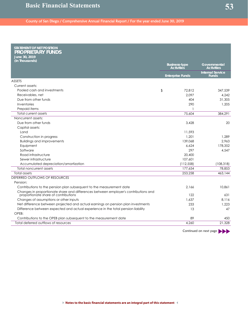| STATEMENT OF NET POSITION<br><b>PROPRIETARY FUNDS</b><br>June 30, 2019                                                      |                |                                           |                                         |
|-----------------------------------------------------------------------------------------------------------------------------|----------------|-------------------------------------------|-----------------------------------------|
| (In Thousands)                                                                                                              |                |                                           |                                         |
|                                                                                                                             |                | <b>Business-type</b><br><b>Activities</b> | Governmental<br><b>Activities</b>       |
|                                                                                                                             |                | <b>Enterprise Funds</b>                   | <b>Internal Service</b><br><b>Funds</b> |
| <b>ASSETS</b>                                                                                                               |                |                                           |                                         |
| Current assets:                                                                                                             |                |                                           |                                         |
| Pooled cash and investments                                                                                                 | $\updownarrow$ | 72.812                                    | 347,539                                 |
| Receivables, net                                                                                                            |                | 2.097                                     | 4.242                                   |
| Due from other funds                                                                                                        |                | 404                                       | 31,305                                  |
| Inventories                                                                                                                 |                | 290                                       | 1.205                                   |
| Prepaid items                                                                                                               |                |                                           |                                         |
| <b>Total current assets</b>                                                                                                 |                | 75,604                                    | 384,291                                 |
| Noncurrent assets:                                                                                                          |                |                                           |                                         |
| Due from other funds                                                                                                        |                | 3,428                                     | 20                                      |
| Capital assets:                                                                                                             |                |                                           |                                         |
| Land                                                                                                                        |                | 11,593                                    |                                         |
| Construction in progress                                                                                                    |                | 1,201                                     | 1.289                                   |
| <b>Buildings and improvements</b>                                                                                           |                | 139.068                                   | 2.963                                   |
| Equipment                                                                                                                   |                | 6.624                                     | 178,352                                 |
| Software                                                                                                                    |                | 297                                       | 4.547                                   |
| Road infrastructure                                                                                                         |                | 20,400                                    |                                         |
| Sewer infrastructure                                                                                                        |                | 107,601                                   |                                         |
| Accumulated depreciation/amortization                                                                                       |                | (112, 558)                                | (108, 318)                              |
| Total noncurrent assets                                                                                                     |                | 177,654                                   | 78.853                                  |
| Total assets                                                                                                                |                | 253,258                                   | 463,144                                 |
| DEFERRED OUTFLOWS OF RESOURCES                                                                                              |                |                                           |                                         |
| Pension:                                                                                                                    |                |                                           |                                         |
| Contributions to the pension plan subsequent to the measurement date                                                        |                | 2.166                                     | 10.861                                  |
| Changes in proportionate share and differences between employer's contributions and<br>proportionate share of contributions |                | 122                                       | 631                                     |
| Changes of assumptions or other inputs                                                                                      |                | 1.637                                     | 8.116                                   |
| Net difference between projected and actual earnings on pension plan investments                                            |                | 233                                       | 1,223                                   |
| Difference between expected and actual experience in the total pension liability                                            |                | 13                                        | 47                                      |
| OPEB:                                                                                                                       |                |                                           |                                         |
| Contributions to the OPEB plan subsequent to the measurement date                                                           |                | 89                                        | 450                                     |
| Total deferred outflows of resources                                                                                        |                | 4.260                                     | 21,328                                  |
|                                                                                                                             |                |                                           |                                         |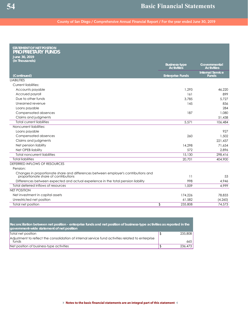| June 30, 2019<br>(In Thousands)<br><b>Business-type</b><br>Governmental<br><b>Activities</b><br><b>Activities</b><br><b>Internal Service</b><br>(Continued)<br><b>Enterprise Funds</b><br><b>Funds</b><br><b>LIABILITIES</b><br><b>Current liabilities:</b><br>Accounts payable<br>1.293<br>46,220<br>Accrued payroll<br>161<br>899<br>Due to other funds<br>3.785<br>5.727<br>Unearned revenue<br>145<br>836<br>284<br>Loans payable<br>Compensated absences<br>187<br>1.080<br>51.438<br>Claims and judgments<br><b>Total current liabilities</b><br>5,571<br>106,484<br>Noncurrent liabilities:<br>927<br>Loans payable<br>Compensated absences<br>260<br>1.502<br>Claims and judgments<br>221.437<br>Net pension liability<br>71.654<br>14,298<br>Net OPEB liability<br>572<br>2,896<br><b>Total noncurrent liabilities</b><br>15,130<br>298,416<br><b>Total liabilities</b><br>404,900<br>20.701<br>DEFERRED INFLOWS OF RESOURCES<br>Pension:<br>Changes in proportionate share and differences between employer's contributions and<br>proportionate share of contributions<br>$\overline{11}$<br>53<br>998<br>Differences between expected and actual experience in the total pension liability<br>4,946<br>Total deferred inflows of resources<br>1.009<br>4.999<br><b>NET POSITION</b><br>Net investment in capital assets<br>174,226<br>78,833<br>Unrestricted net position<br>61,582<br>(4,260)<br>Total net position<br>\$<br>235,808<br>74,573 | <b>STATEMENT OF NET POSITION</b><br><b>PROPRIETARY FUNDS</b> |  |
|-------------------------------------------------------------------------------------------------------------------------------------------------------------------------------------------------------------------------------------------------------------------------------------------------------------------------------------------------------------------------------------------------------------------------------------------------------------------------------------------------------------------------------------------------------------------------------------------------------------------------------------------------------------------------------------------------------------------------------------------------------------------------------------------------------------------------------------------------------------------------------------------------------------------------------------------------------------------------------------------------------------------------------------------------------------------------------------------------------------------------------------------------------------------------------------------------------------------------------------------------------------------------------------------------------------------------------------------------------------------------------------------------------------------------------------------------------------|--------------------------------------------------------------|--|
|                                                                                                                                                                                                                                                                                                                                                                                                                                                                                                                                                                                                                                                                                                                                                                                                                                                                                                                                                                                                                                                                                                                                                                                                                                                                                                                                                                                                                                                             |                                                              |  |
|                                                                                                                                                                                                                                                                                                                                                                                                                                                                                                                                                                                                                                                                                                                                                                                                                                                                                                                                                                                                                                                                                                                                                                                                                                                                                                                                                                                                                                                             |                                                              |  |
|                                                                                                                                                                                                                                                                                                                                                                                                                                                                                                                                                                                                                                                                                                                                                                                                                                                                                                                                                                                                                                                                                                                                                                                                                                                                                                                                                                                                                                                             |                                                              |  |
|                                                                                                                                                                                                                                                                                                                                                                                                                                                                                                                                                                                                                                                                                                                                                                                                                                                                                                                                                                                                                                                                                                                                                                                                                                                                                                                                                                                                                                                             |                                                              |  |
|                                                                                                                                                                                                                                                                                                                                                                                                                                                                                                                                                                                                                                                                                                                                                                                                                                                                                                                                                                                                                                                                                                                                                                                                                                                                                                                                                                                                                                                             |                                                              |  |
|                                                                                                                                                                                                                                                                                                                                                                                                                                                                                                                                                                                                                                                                                                                                                                                                                                                                                                                                                                                                                                                                                                                                                                                                                                                                                                                                                                                                                                                             |                                                              |  |
|                                                                                                                                                                                                                                                                                                                                                                                                                                                                                                                                                                                                                                                                                                                                                                                                                                                                                                                                                                                                                                                                                                                                                                                                                                                                                                                                                                                                                                                             |                                                              |  |
|                                                                                                                                                                                                                                                                                                                                                                                                                                                                                                                                                                                                                                                                                                                                                                                                                                                                                                                                                                                                                                                                                                                                                                                                                                                                                                                                                                                                                                                             |                                                              |  |
|                                                                                                                                                                                                                                                                                                                                                                                                                                                                                                                                                                                                                                                                                                                                                                                                                                                                                                                                                                                                                                                                                                                                                                                                                                                                                                                                                                                                                                                             |                                                              |  |
|                                                                                                                                                                                                                                                                                                                                                                                                                                                                                                                                                                                                                                                                                                                                                                                                                                                                                                                                                                                                                                                                                                                                                                                                                                                                                                                                                                                                                                                             |                                                              |  |
|                                                                                                                                                                                                                                                                                                                                                                                                                                                                                                                                                                                                                                                                                                                                                                                                                                                                                                                                                                                                                                                                                                                                                                                                                                                                                                                                                                                                                                                             |                                                              |  |
|                                                                                                                                                                                                                                                                                                                                                                                                                                                                                                                                                                                                                                                                                                                                                                                                                                                                                                                                                                                                                                                                                                                                                                                                                                                                                                                                                                                                                                                             |                                                              |  |
|                                                                                                                                                                                                                                                                                                                                                                                                                                                                                                                                                                                                                                                                                                                                                                                                                                                                                                                                                                                                                                                                                                                                                                                                                                                                                                                                                                                                                                                             |                                                              |  |
|                                                                                                                                                                                                                                                                                                                                                                                                                                                                                                                                                                                                                                                                                                                                                                                                                                                                                                                                                                                                                                                                                                                                                                                                                                                                                                                                                                                                                                                             |                                                              |  |
|                                                                                                                                                                                                                                                                                                                                                                                                                                                                                                                                                                                                                                                                                                                                                                                                                                                                                                                                                                                                                                                                                                                                                                                                                                                                                                                                                                                                                                                             |                                                              |  |
|                                                                                                                                                                                                                                                                                                                                                                                                                                                                                                                                                                                                                                                                                                                                                                                                                                                                                                                                                                                                                                                                                                                                                                                                                                                                                                                                                                                                                                                             |                                                              |  |
|                                                                                                                                                                                                                                                                                                                                                                                                                                                                                                                                                                                                                                                                                                                                                                                                                                                                                                                                                                                                                                                                                                                                                                                                                                                                                                                                                                                                                                                             |                                                              |  |
|                                                                                                                                                                                                                                                                                                                                                                                                                                                                                                                                                                                                                                                                                                                                                                                                                                                                                                                                                                                                                                                                                                                                                                                                                                                                                                                                                                                                                                                             |                                                              |  |
|                                                                                                                                                                                                                                                                                                                                                                                                                                                                                                                                                                                                                                                                                                                                                                                                                                                                                                                                                                                                                                                                                                                                                                                                                                                                                                                                                                                                                                                             |                                                              |  |
|                                                                                                                                                                                                                                                                                                                                                                                                                                                                                                                                                                                                                                                                                                                                                                                                                                                                                                                                                                                                                                                                                                                                                                                                                                                                                                                                                                                                                                                             |                                                              |  |
|                                                                                                                                                                                                                                                                                                                                                                                                                                                                                                                                                                                                                                                                                                                                                                                                                                                                                                                                                                                                                                                                                                                                                                                                                                                                                                                                                                                                                                                             |                                                              |  |
|                                                                                                                                                                                                                                                                                                                                                                                                                                                                                                                                                                                                                                                                                                                                                                                                                                                                                                                                                                                                                                                                                                                                                                                                                                                                                                                                                                                                                                                             |                                                              |  |
|                                                                                                                                                                                                                                                                                                                                                                                                                                                                                                                                                                                                                                                                                                                                                                                                                                                                                                                                                                                                                                                                                                                                                                                                                                                                                                                                                                                                                                                             |                                                              |  |
|                                                                                                                                                                                                                                                                                                                                                                                                                                                                                                                                                                                                                                                                                                                                                                                                                                                                                                                                                                                                                                                                                                                                                                                                                                                                                                                                                                                                                                                             |                                                              |  |
|                                                                                                                                                                                                                                                                                                                                                                                                                                                                                                                                                                                                                                                                                                                                                                                                                                                                                                                                                                                                                                                                                                                                                                                                                                                                                                                                                                                                                                                             |                                                              |  |
|                                                                                                                                                                                                                                                                                                                                                                                                                                                                                                                                                                                                                                                                                                                                                                                                                                                                                                                                                                                                                                                                                                                                                                                                                                                                                                                                                                                                                                                             |                                                              |  |
|                                                                                                                                                                                                                                                                                                                                                                                                                                                                                                                                                                                                                                                                                                                                                                                                                                                                                                                                                                                                                                                                                                                                                                                                                                                                                                                                                                                                                                                             |                                                              |  |
|                                                                                                                                                                                                                                                                                                                                                                                                                                                                                                                                                                                                                                                                                                                                                                                                                                                                                                                                                                                                                                                                                                                                                                                                                                                                                                                                                                                                                                                             |                                                              |  |
|                                                                                                                                                                                                                                                                                                                                                                                                                                                                                                                                                                                                                                                                                                                                                                                                                                                                                                                                                                                                                                                                                                                                                                                                                                                                                                                                                                                                                                                             |                                                              |  |
|                                                                                                                                                                                                                                                                                                                                                                                                                                                                                                                                                                                                                                                                                                                                                                                                                                                                                                                                                                                                                                                                                                                                                                                                                                                                                                                                                                                                                                                             |                                                              |  |
|                                                                                                                                                                                                                                                                                                                                                                                                                                                                                                                                                                                                                                                                                                                                                                                                                                                                                                                                                                                                                                                                                                                                                                                                                                                                                                                                                                                                                                                             |                                                              |  |
|                                                                                                                                                                                                                                                                                                                                                                                                                                                                                                                                                                                                                                                                                                                                                                                                                                                                                                                                                                                                                                                                                                                                                                                                                                                                                                                                                                                                                                                             |                                                              |  |

| Reconciliation between net position - enterprise funds and net position of business-type activities as reported in the<br>government-wide statement of net position |         |
|---------------------------------------------------------------------------------------------------------------------------------------------------------------------|---------|
| Total net position                                                                                                                                                  | 235,808 |
| Adjustment to reflect the consolidation of internal service fund activities related to enterprise<br>funds                                                          | 665     |
| Net position of business-type activities                                                                                                                            | 236,473 |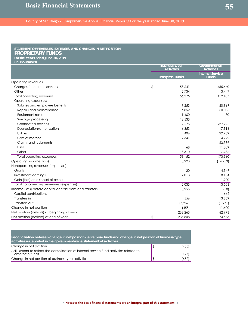| STATEMENT OF REVENUES, EXPENSES, AND CHANGES IN NET POSITION<br><b>PROPRIETARY FUNDS</b><br>For the Year Ended June 30, 2019<br>(In Thousands) |                          |                                           |                                         |
|------------------------------------------------------------------------------------------------------------------------------------------------|--------------------------|-------------------------------------------|-----------------------------------------|
|                                                                                                                                                |                          | <b>Business-type</b><br><b>Activities</b> | Governmental<br><b>Activities</b>       |
|                                                                                                                                                |                          | <b>Enterprise Funds</b>                   | <b>Internal Service</b><br><b>Funds</b> |
| Operating revenues:                                                                                                                            |                          |                                           |                                         |
| Charges for current services                                                                                                                   | \$                       | 53.641                                    | 455,660                                 |
| Other                                                                                                                                          |                          | 2.734                                     | 3,447                                   |
| Total operating revenues                                                                                                                       |                          | 56,375                                    | 459,107                                 |
| Operating expenses:                                                                                                                            |                          |                                           |                                         |
| Salaries and employee benefits                                                                                                                 |                          | 9,253                                     | 50,969                                  |
| Repairs and maintenance                                                                                                                        |                          | 6,852                                     | 50,005                                  |
| Equipment rental                                                                                                                               |                          | 1,460                                     | 80                                      |
| Sewage processing                                                                                                                              |                          | 13,533                                    |                                         |
| Contracted services                                                                                                                            |                          | 9.576                                     | 237,275                                 |
| Depreciation/amortization                                                                                                                      |                          | 6,353                                     | 17,916                                  |
| <b>Utilities</b>                                                                                                                               |                          | 406                                       | 29,759                                  |
| Cost of material                                                                                                                               |                          | 2,341                                     | 4,922                                   |
| Claims and judgments                                                                                                                           |                          |                                           | 63,339                                  |
| Fuel                                                                                                                                           |                          | 68                                        | 11,309                                  |
| Other                                                                                                                                          |                          | 3,310                                     | 7,786                                   |
| Total operating expenses                                                                                                                       |                          | 53,152                                    | 473,360                                 |
| Operating income (loss)                                                                                                                        |                          | 3,223                                     | (14, 253)                               |
| Nonoperating revenues (expenses):                                                                                                              |                          |                                           |                                         |
| Grants                                                                                                                                         |                          | 20                                        | 4,149                                   |
| Investment earnings                                                                                                                            |                          | 2,013                                     | 8,154                                   |
| Gain (loss) on disposal of assets                                                                                                              |                          |                                           | 1,200                                   |
| Total nonoperating revenues (expenses)                                                                                                         |                          | 2.033                                     | 13,503                                  |
| Income (loss) before capital contributions and transfers                                                                                       |                          | 5,256                                     | (750)                                   |
| Capital contributions                                                                                                                          |                          |                                           | 662                                     |
| Transfers in                                                                                                                                   |                          | 556                                       | 13,659                                  |
| Transfers out                                                                                                                                  |                          | (6, 267)                                  | (1, 971)                                |
| Change in net position                                                                                                                         |                          | (455)                                     | 11,600                                  |
| Net position (deficits) at beginning of year                                                                                                   |                          | 236,263                                   | 62,973                                  |
| Net position (deficits) at end of year                                                                                                         | $\overline{\mathcal{L}}$ | 235,808                                   | 74,573                                  |

| Reconciliation between change in net position - enterprise funds and change in net position of business-type<br>activities as reported in the government-wide statement of activities |       |
|---------------------------------------------------------------------------------------------------------------------------------------------------------------------------------------|-------|
| Change in net position                                                                                                                                                                | (455) |
| Adjustment to reflect the consolidation of internal service fund activities related to<br>enterprise funds                                                                            | (197) |
| Change in net position of business-type activities                                                                                                                                    | (652) |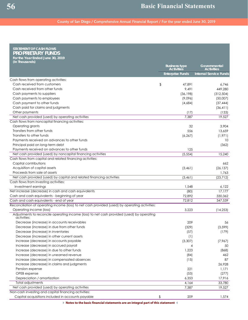| <b>STATEMENT OF CASH FLOWS</b><br><b>PROPRIETARY FUNDS</b><br>For the Year Ended June 30, 2019<br>(In Thousands) |                                           |                                   |
|------------------------------------------------------------------------------------------------------------------|-------------------------------------------|-----------------------------------|
|                                                                                                                  | <b>Business-type</b><br><b>Activities</b> | Governmental<br><b>Activities</b> |
|                                                                                                                  | <b>Enterprise Funds</b>                   | <b>Internal Service Funds</b>     |
| Cash flows from operating activities:                                                                            |                                           |                                   |
| Cash received from customers<br>\$                                                                               | 47,891                                    | 6.746                             |
| Cash received from other funds                                                                                   | 9,491                                     | 449,280                           |
| Cash payments to suppliers                                                                                       | (36, 198)                                 | (312, 504)                        |
| Cash payments to employees                                                                                       | (9,096)                                   | (50,007)                          |
| Cash payment to other funds                                                                                      | (4,684)                                   | (37, 444)                         |
| Cash paid for claims and judgments                                                                               |                                           | (36, 411)                         |
| Other payments                                                                                                   | (17)                                      | (133)                             |
| Net cash provided (used) by operating activities                                                                 | 7,387                                     | 19,527                            |
| Cash flows from noncapital financing activities:                                                                 |                                           |                                   |
| Operating grants                                                                                                 | 32                                        | 3,904                             |
| Transfers from other funds                                                                                       | 556                                       | 13,659                            |
| Transfers to other funds                                                                                         | (6, 267)                                  | (1,971)                           |
| Payments received on advances to other funds                                                                     |                                           | 10                                |
| Principal paid on long-term debt                                                                                 |                                           | (362)                             |
| Payments received on advances to other funds                                                                     | 125                                       |                                   |
| Net cash provided (used) by noncapital financing activities                                                      | (5, 554)                                  | 15,240                            |
| Cash flows from capital and related financing activities:                                                        |                                           |                                   |
| Capital contributions                                                                                            |                                           | 662                               |
| Acquisition of capital assets                                                                                    | (3,461)                                   | (26, 137)                         |
| Proceeds from sale of assets                                                                                     |                                           | 1,763                             |
| Net cash provided (used) by capital and related financing activities                                             | (3, 461)                                  | (23, 712)                         |
| Cash flows from investing activities:                                                                            |                                           |                                   |
| Investment earnings                                                                                              | 1,548                                     | 6,122                             |
| Net increase (decrease) in cash and cash equivalents                                                             | (80)                                      | 17,177                            |
| Cash and cash equivalents - beginning of year                                                                    | 72,892                                    | 330,362                           |
| Cash and cash equivalents - end of year                                                                          | 72,812                                    | 347,539                           |
| Reconciliation of operating income (loss) to net cash provided (used) by operating activities:                   |                                           |                                   |
| Operating income (loss)                                                                                          | 3,223                                     | (14, 253)                         |
| Adjustments to reconcile operating income (loss) to net cash provided (used) by operating<br>activities:         |                                           |                                   |
| Decrease (increase) in accounts receivables                                                                      | 209                                       | 56                                |
| Decrease (increase) in due from other funds                                                                      | (329)                                     | (3, 599)                          |
| Decrease (increase) in inventories                                                                               | (57)                                      | (179)                             |
| Decrease (increase) in other current assets                                                                      | (1)                                       |                                   |
| Increase (decrease) in accounts payable                                                                          | (3,307)                                   | (7,967)                           |
| Increase (decrease) in accrued payroll                                                                           | 4                                         | 50                                |
| Increase (decrease) in due to other funds                                                                        | 1,223                                     | (868)                             |
| Increase (decrease) in unearned revenue                                                                          | (84)                                      | 462                               |
| Increase (decrease) in compensated absences                                                                      | (15)                                      | 87                                |
| Increase (decrease) in claims and judgments                                                                      |                                           | 26,928                            |
| Pension expense                                                                                                  | 221                                       | 1,171                             |
| OPEB expense                                                                                                     | (53)                                      | (277)                             |
| Depreciation / amortization                                                                                      | 6,353                                     | 17,916                            |
| Total adjustments                                                                                                | 4,164                                     | 33,780                            |
| Net cash provided (used) by operating activities                                                                 | 7,387                                     | 19,527                            |
| Non-cash investing and capital financing activities:                                                             |                                           |                                   |
| Capital acquisitions included in accounts payable<br>\$                                                          | 209                                       | 1,574                             |

 **Notes to the basic financial statements are an integral part of this statement**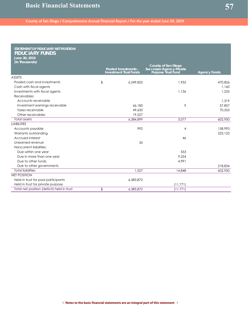| STATEMENT OF FIDUCIARY NET POSITION<br><b>FIDUCIARY FUNDS</b><br>June 30, 2019<br>(In Thousands) |                                                       |                                                                              |                     |
|--------------------------------------------------------------------------------------------------|-------------------------------------------------------|------------------------------------------------------------------------------|---------------------|
|                                                                                                  | Pooled Investments -<br><b>Investment Trust Funds</b> | County of San Diego<br><b>Successor Agency Private</b><br>Purpose Trust Fund | <b>Agency Funds</b> |
| <b>ASSETS</b>                                                                                    |                                                       |                                                                              |                     |
| Pooled cash and investments                                                                      | \$<br>6.249.852                                       | 1.932                                                                        | 470.826             |
| Cash with fiscal agents                                                                          |                                                       |                                                                              | 1,160               |
| Investments with fiscal agents                                                                   |                                                       | 1,136                                                                        | 1,235               |
| Receivables:                                                                                     |                                                       |                                                                              |                     |
| Accounts receivable                                                                              |                                                       |                                                                              | 1,319               |
| Investment earnings receivable                                                                   | 66.185                                                | 9                                                                            | 57,857              |
| Taxes receivable                                                                                 | 49.635                                                |                                                                              | 70,553              |
| Other receivables                                                                                | 19,227                                                |                                                                              |                     |
| <b>Total assets</b>                                                                              | 6,384,899                                             | 3,077                                                                        | 602,950             |
| <b>LIABILITIES</b>                                                                               |                                                       |                                                                              |                     |
| Accounts payable                                                                                 | 992                                                   | 4                                                                            | 158,993             |
| Warrants outstanding                                                                             |                                                       |                                                                              | 225,123             |
| Accrued interest                                                                                 |                                                       | 46                                                                           |                     |
| Unearned revenue                                                                                 | 35                                                    |                                                                              |                     |
| Noncurrent liabilities:                                                                          |                                                       |                                                                              |                     |
| Due within one year                                                                              |                                                       | 553                                                                          |                     |
| Due in more than one year                                                                        |                                                       | 9,254                                                                        |                     |
| Due to other funds                                                                               |                                                       | 4,991                                                                        |                     |
| Due to other governments                                                                         |                                                       |                                                                              | 218,834             |
| <b>Total liabilities</b>                                                                         | 1,027                                                 | 14,848                                                                       | 602,950             |
| <b>NET POSITION</b>                                                                              |                                                       |                                                                              |                     |
| Held in trust for pool participants                                                              | 6,383,872                                             |                                                                              |                     |
| Held in trust for private purpose                                                                |                                                       | (11, 771)                                                                    |                     |
| Total net position (deficit) held in trust                                                       | \$<br>6.383.872                                       | (11,771)                                                                     |                     |